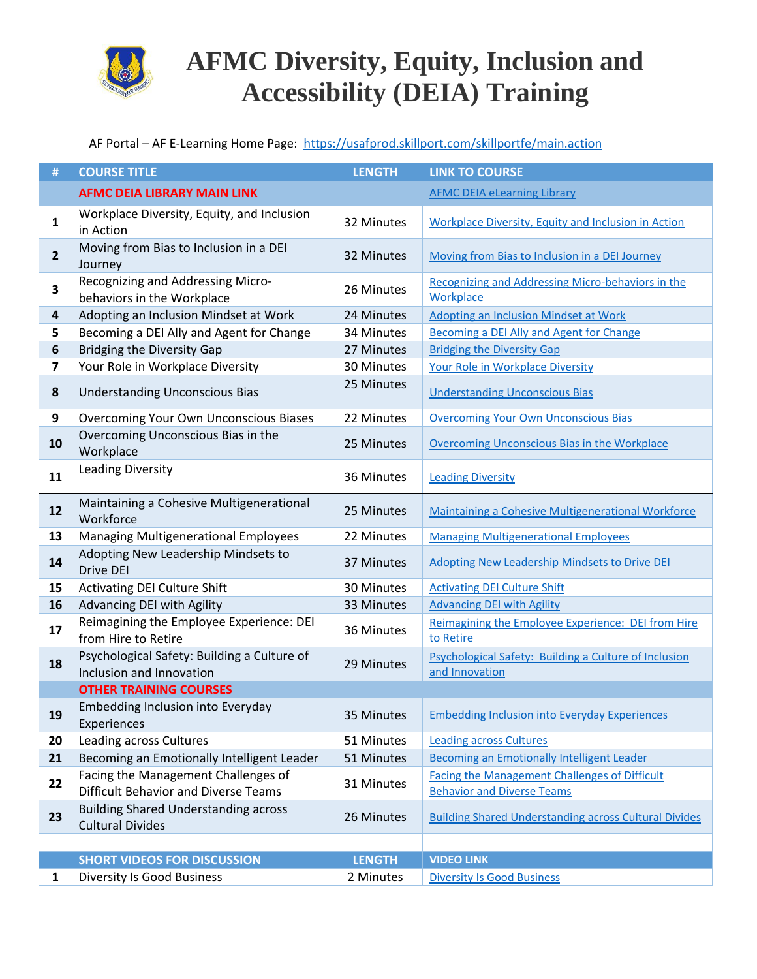

#### AF Portal – AF E-Learning Home Page:<https://usafprod.skillport.com/skillportfe/main.action>

| #                       | <b>COURSE TITLE</b>                                                                | <b>LENGTH</b> | <b>LINK TO COURSE</b>                                                                     |
|-------------------------|------------------------------------------------------------------------------------|---------------|-------------------------------------------------------------------------------------------|
|                         | <b>AFMC DEIA LIBRARY MAIN LINK</b>                                                 |               | <b>AFMC DEIA eLearning Library</b>                                                        |
| $\mathbf{1}$            | Workplace Diversity, Equity, and Inclusion<br>in Action                            | 32 Minutes    | <b>Workplace Diversity, Equity and Inclusion in Action</b>                                |
| $\mathbf{2}$            | Moving from Bias to Inclusion in a DEI<br>Journey                                  | 32 Minutes    | Moving from Bias to Inclusion in a DEI Journey                                            |
| 3                       | Recognizing and Addressing Micro-<br>behaviors in the Workplace                    | 26 Minutes    | Recognizing and Addressing Micro-behaviors in the<br>Workplace                            |
| $\overline{\mathbf{4}}$ | Adopting an Inclusion Mindset at Work                                              | 24 Minutes    | Adopting an Inclusion Mindset at Work                                                     |
| 5                       | Becoming a DEI Ally and Agent for Change                                           | 34 Minutes    | <b>Becoming a DEI Ally and Agent for Change</b>                                           |
| 6                       | Bridging the Diversity Gap                                                         | 27 Minutes    | <b>Bridging the Diversity Gap</b>                                                         |
| 7                       | Your Role in Workplace Diversity                                                   | 30 Minutes    | Your Role in Workplace Diversity                                                          |
| 8                       | <b>Understanding Unconscious Bias</b>                                              | 25 Minutes    | <b>Understanding Unconscious Bias</b>                                                     |
| $\boldsymbol{9}$        | Overcoming Your Own Unconscious Biases                                             | 22 Minutes    | <b>Overcoming Your Own Unconscious Bias</b>                                               |
| 10                      | Overcoming Unconscious Bias in the<br>Workplace                                    | 25 Minutes    | Overcoming Unconscious Bias in the Workplace                                              |
| 11                      | Leading Diversity                                                                  | 36 Minutes    | <b>Leading Diversity</b>                                                                  |
| 12                      | Maintaining a Cohesive Multigenerational<br>Workforce                              | 25 Minutes    | Maintaining a Cohesive Multigenerational Workforce                                        |
| 13                      | <b>Managing Multigenerational Employees</b>                                        | 22 Minutes    | <b>Managing Multigenerational Employees</b>                                               |
| 14                      | Adopting New Leadership Mindsets to<br>Drive DEI                                   | 37 Minutes    | <b>Adopting New Leadership Mindsets to Drive DEI</b>                                      |
| 15                      | <b>Activating DEI Culture Shift</b>                                                | 30 Minutes    | <b>Activating DEI Culture Shift</b>                                                       |
| 16                      | Advancing DEI with Agility                                                         | 33 Minutes    | <b>Advancing DEI with Agility</b>                                                         |
| 17                      | Reimagining the Employee Experience: DEI<br>from Hire to Retire                    | 36 Minutes    | Reimagining the Employee Experience: DEI from Hire<br>to Retire                           |
| 18                      | Psychological Safety: Building a Culture of<br>Inclusion and Innovation            | 29 Minutes    | Psychological Safety: Building a Culture of Inclusion<br>and Innovation                   |
|                         | <b>OTHER TRAINING COURSES</b>                                                      |               |                                                                                           |
| 19                      | Embedding Inclusion into Everyday<br>Experiences                                   | 35 Minutes    | <b>Embedding Inclusion into Everyday Experiences</b>                                      |
| 20                      | Leading across Cultures                                                            | 51 Minutes    | <b>Leading across Cultures</b>                                                            |
| 21                      | Becoming an Emotionally Intelligent Leader                                         | 51 Minutes    | <b>Becoming an Emotionally Intelligent Leader</b>                                         |
| 22                      | Facing the Management Challenges of<br><b>Difficult Behavior and Diverse Teams</b> | 31 Minutes    | <b>Facing the Management Challenges of Difficult</b><br><b>Behavior and Diverse Teams</b> |
| 23                      | <b>Building Shared Understanding across</b><br><b>Cultural Divides</b>             | 26 Minutes    | <b>Building Shared Understanding across Cultural Divides</b>                              |
|                         |                                                                                    |               |                                                                                           |
|                         | <b>SHORT VIDEOS FOR DISCUSSION</b>                                                 | <b>LENGTH</b> | <b>VIDEO LINK</b>                                                                         |
| $\mathbf{1}$            | <b>Diversity Is Good Business</b>                                                  | 2 Minutes     | <b>Diversity Is Good Business</b>                                                         |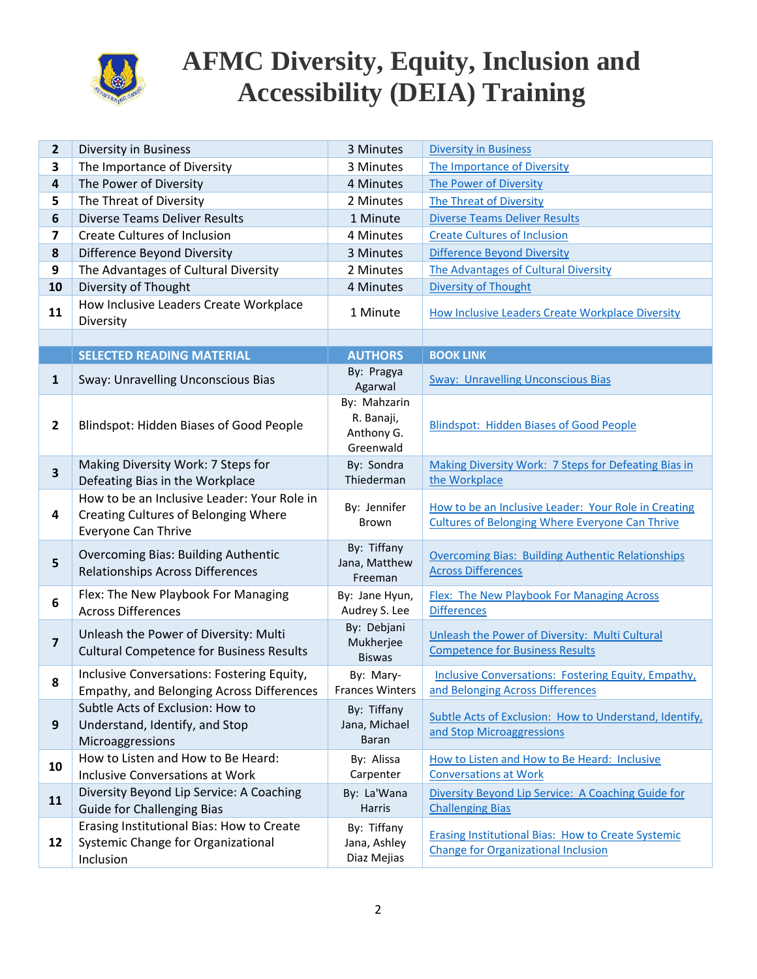

| 2                       | Diversity in Business                                                                                      | 3 Minutes                                             | <b>Diversity in Business</b>                                                                                   |
|-------------------------|------------------------------------------------------------------------------------------------------------|-------------------------------------------------------|----------------------------------------------------------------------------------------------------------------|
| 3                       | The Importance of Diversity                                                                                | 3 Minutes                                             | The Importance of Diversity                                                                                    |
| $\overline{\mathbf{4}}$ | The Power of Diversity                                                                                     | 4 Minutes                                             | The Power of Diversity                                                                                         |
| 5                       | The Threat of Diversity                                                                                    | 2 Minutes                                             | <b>The Threat of Diversity</b>                                                                                 |
| 6                       | <b>Diverse Teams Deliver Results</b>                                                                       | 1 Minute                                              | <b>Diverse Teams Deliver Results</b>                                                                           |
| 7                       | <b>Create Cultures of Inclusion</b>                                                                        | 4 Minutes                                             | <b>Create Cultures of Inclusion</b>                                                                            |
| 8                       | Difference Beyond Diversity                                                                                | 3 Minutes                                             | <b>Difference Beyond Diversity</b>                                                                             |
| 9                       | The Advantages of Cultural Diversity                                                                       | 2 Minutes                                             | The Advantages of Cultural Diversity                                                                           |
| 10                      | Diversity of Thought                                                                                       | 4 Minutes                                             | Diversity of Thought                                                                                           |
| 11                      | How Inclusive Leaders Create Workplace<br>Diversity                                                        | 1 Minute                                              | How Inclusive Leaders Create Workplace Diversity                                                               |
|                         |                                                                                                            |                                                       |                                                                                                                |
|                         | <b>SELECTED READING MATERIAL</b>                                                                           | <b>AUTHORS</b>                                        | <b>BOOK LINK</b>                                                                                               |
| $\mathbf{1}$            | Sway: Unravelling Unconscious Bias                                                                         | By: Pragya<br>Agarwal                                 | <b>Sway: Unravelling Unconscious Bias</b>                                                                      |
| $\mathbf{2}$            | Blindspot: Hidden Biases of Good People                                                                    | By: Mahzarin<br>R. Banaji,<br>Anthony G.<br>Greenwald | <b>Blindspot: Hidden Biases of Good People</b>                                                                 |
| 3                       | Making Diversity Work: 7 Steps for<br>Defeating Bias in the Workplace                                      | By: Sondra<br>Thiederman                              | Making Diversity Work: 7 Steps for Defeating Bias in<br>the Workplace                                          |
| 4                       | How to be an Inclusive Leader: Your Role in<br>Creating Cultures of Belonging Where<br>Everyone Can Thrive | By: Jennifer<br><b>Brown</b>                          | How to be an Inclusive Leader: Your Role in Creating<br><b>Cultures of Belonging Where Everyone Can Thrive</b> |
| 5                       | <b>Overcoming Bias: Building Authentic</b><br><b>Relationships Across Differences</b>                      | By: Tiffany<br>Jana, Matthew<br>Freeman               | <b>Overcoming Bias: Building Authentic Relationships</b><br><b>Across Differences</b>                          |
| 6                       | Flex: The New Playbook For Managing<br><b>Across Differences</b>                                           | By: Jane Hyun,<br>Audrey S. Lee                       | <b>Flex: The New Playbook For Managing Across</b><br><b>Differences</b>                                        |
| $\overline{\mathbf{z}}$ | Unleash the Power of Diversity: Multi<br><b>Cultural Competence for Business Results</b>                   | By: Debjani<br>Mukherjee<br><b>Biswas</b>             | Unleash the Power of Diversity: Multi Cultural<br><b>Competence for Business Results</b>                       |
| 8                       | Inclusive Conversations: Fostering Equity,<br>Empathy, and Belonging Across Differences                    | By: Mary-<br><b>Frances Winters</b>                   | <b>Inclusive Conversations: Fostering Equity, Empathy,</b><br>and Belonging Across Differences                 |
| 9                       | Subtle Acts of Exclusion: How to<br>Understand, Identify, and Stop<br>Microaggressions                     | By: Tiffany<br>Jana, Michael<br>Baran                 | Subtle Acts of Exclusion: How to Understand, Identify,<br>and Stop Microaggressions                            |
| 10                      | How to Listen and How to Be Heard:<br><b>Inclusive Conversations at Work</b>                               | By: Alissa<br>Carpenter                               | How to Listen and How to Be Heard: Inclusive<br><b>Conversations at Work</b>                                   |
| 11                      | Diversity Beyond Lip Service: A Coaching<br><b>Guide for Challenging Bias</b>                              | By: La'Wana<br>Harris                                 | Diversity Beyond Lip Service: A Coaching Guide for<br><b>Challenging Bias</b>                                  |
| 12                      | Erasing Institutional Bias: How to Create<br>Systemic Change for Organizational<br>Inclusion               | By: Tiffany<br>Jana, Ashley<br>Diaz Mejias            | <b>Erasing Institutional Bias: How to Create Systemic</b><br><b>Change for Organizational Inclusion</b>        |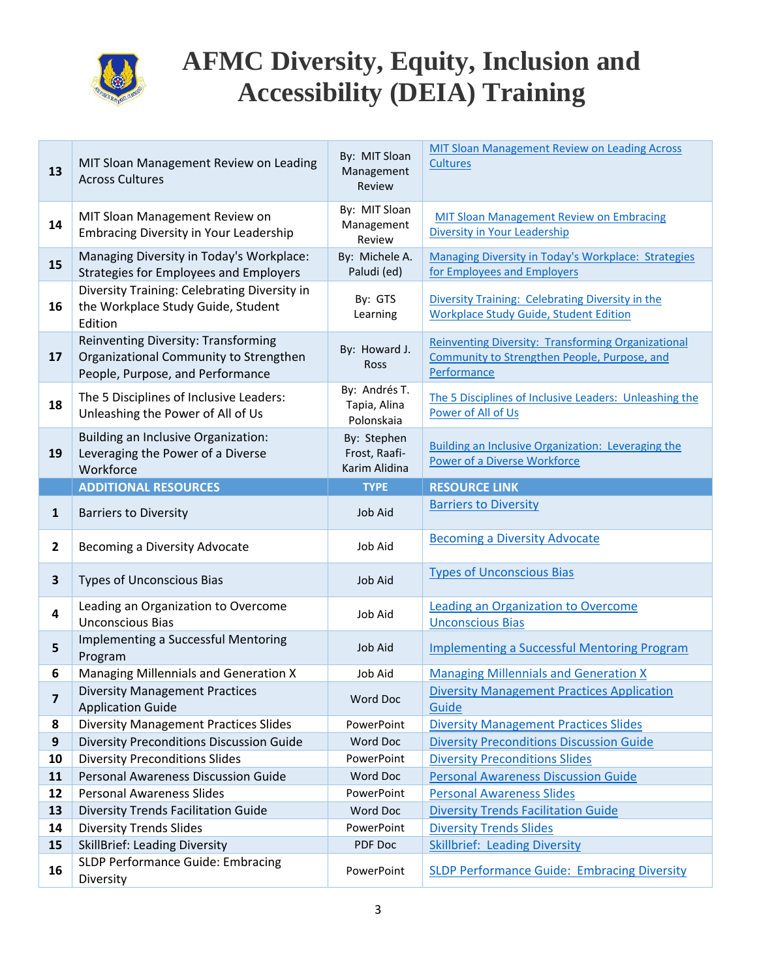

| 13               | MIT Sloan Management Review on Leading<br><b>Across Cultures</b>                                                  | By: MIT Sloan<br>Management<br>Review         | <b>MIT Sloan Management Review on Leading Across</b><br><b>Cultures</b>                                                  |
|------------------|-------------------------------------------------------------------------------------------------------------------|-----------------------------------------------|--------------------------------------------------------------------------------------------------------------------------|
| 14               | MIT Sloan Management Review on<br><b>Embracing Diversity in Your Leadership</b>                                   | By: MIT Sloan<br>Management<br>Review         | <b>MIT Sloan Management Review on Embracing</b><br>Diversity in Your Leadership                                          |
| 15               | Managing Diversity in Today's Workplace:<br><b>Strategies for Employees and Employers</b>                         | By: Michele A.<br>Paludi (ed)                 | Managing Diversity in Today's Workplace: Strategies<br>for Employees and Employers                                       |
| 16               | Diversity Training: Celebrating Diversity in<br>the Workplace Study Guide, Student<br>Edition                     | By: GTS<br>Learning                           | Diversity Training: Celebrating Diversity in the<br><b>Workplace Study Guide, Student Edition</b>                        |
| 17               | Reinventing Diversity: Transforming<br>Organizational Community to Strengthen<br>People, Purpose, and Performance | By: Howard J.<br>Ross                         | <b>Reinventing Diversity: Transforming Organizational</b><br>Community to Strengthen People, Purpose, and<br>Performance |
| 18               | The 5 Disciplines of Inclusive Leaders:<br>Unleashing the Power of All of Us                                      | By: Andrés T.<br>Tapia, Alina<br>Polonskaia   | The 5 Disciplines of Inclusive Leaders: Unleashing the<br>Power of All of Us                                             |
| 19               | <b>Building an Inclusive Organization:</b><br>Leveraging the Power of a Diverse<br>Workforce                      | By: Stephen<br>Frost, Raafi-<br>Karim Alidina | <b>Building an Inclusive Organization: Leveraging the</b><br><b>Power of a Diverse Workforce</b>                         |
|                  | <b>ADDITIONAL RESOURCES</b>                                                                                       | <b>TYPE</b>                                   | <b>RESOURCE LINK</b>                                                                                                     |
| $\mathbf{1}$     | <b>Barriers to Diversity</b>                                                                                      | Job Aid                                       | <b>Barriers to Diversity</b>                                                                                             |
| $\mathbf{2}$     | Becoming a Diversity Advocate                                                                                     | Job Aid                                       | <b>Becoming a Diversity Advocate</b>                                                                                     |
| $\mathbf{3}$     | <b>Types of Unconscious Bias</b>                                                                                  | Job Aid                                       | <b>Types of Unconscious Bias</b>                                                                                         |
| 4                | Leading an Organization to Overcome<br><b>Unconscious Bias</b>                                                    | Job Aid                                       | <b>Leading an Organization to Overcome</b><br><b>Unconscious Bias</b>                                                    |
| 5                |                                                                                                                   |                                               |                                                                                                                          |
|                  | Implementing a Successful Mentoring<br>Program                                                                    | Job Aid                                       | <b>Implementing a Successful Mentoring Program</b>                                                                       |
| 6                | Managing Millennials and Generation X                                                                             | Job Aid                                       | <b>Managing Millennials and Generation X</b>                                                                             |
| 7                | <b>Diversity Management Practices</b><br><b>Application Guide</b>                                                 | Word Doc                                      | <b>Diversity Management Practices Application</b><br>Guide                                                               |
| 8                | <b>Diversity Management Practices Slides</b>                                                                      | PowerPoint                                    | <b>Diversity Management Practices Slides</b>                                                                             |
| $\boldsymbol{9}$ | Diversity Preconditions Discussion Guide                                                                          | Word Doc                                      | <b>Diversity Preconditions Discussion Guide</b>                                                                          |
| 10               | <b>Diversity Preconditions Slides</b>                                                                             | PowerPoint                                    | <b>Diversity Preconditions Slides</b>                                                                                    |
| 11               | <b>Personal Awareness Discussion Guide</b>                                                                        | Word Doc                                      | <b>Personal Awareness Discussion Guide</b>                                                                               |
| 12               | <b>Personal Awareness Slides</b>                                                                                  | PowerPoint                                    | <b>Personal Awareness Slides</b>                                                                                         |
| 13               | <b>Diversity Trends Facilitation Guide</b>                                                                        | Word Doc                                      | <b>Diversity Trends Facilitation Guide</b>                                                                               |
| 14               | <b>Diversity Trends Slides</b>                                                                                    | PowerPoint                                    | <b>Diversity Trends Slides</b>                                                                                           |
| 15               | <b>SkillBrief: Leading Diversity</b><br>SLDP Performance Guide: Embracing                                         | PDF Doc                                       | <b>Skillbrief: Leading Diversity</b>                                                                                     |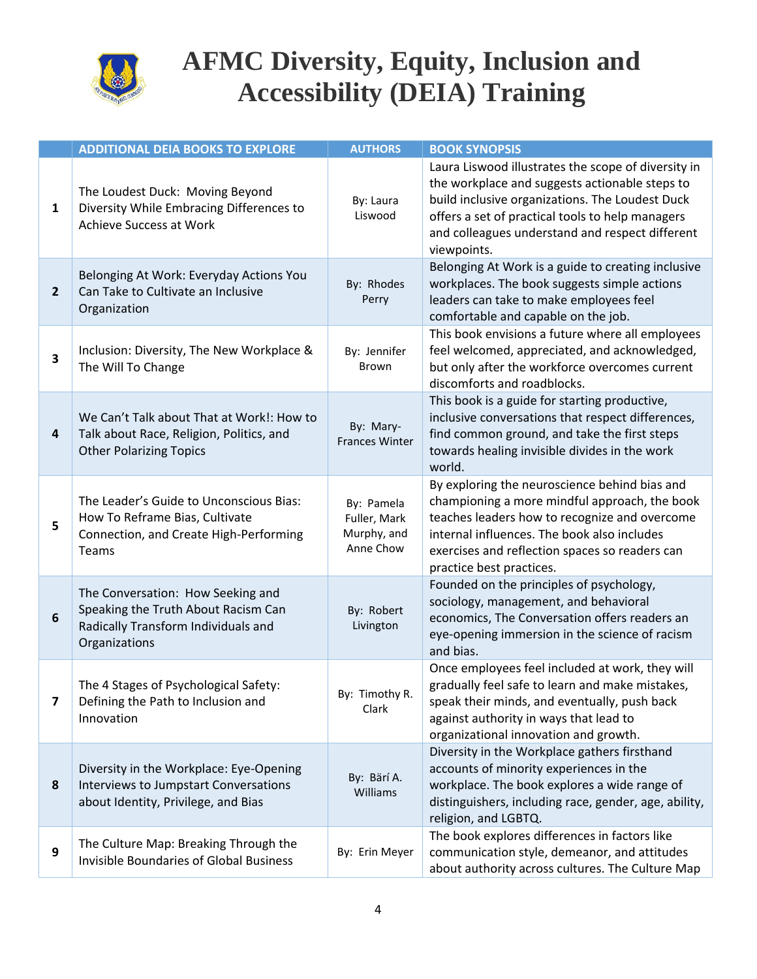

|                         | <b>ADDITIONAL DEIA BOOKS TO EXPLORE</b>                                                                                          | <b>AUTHORS</b>                                         | <b>BOOK SYNOPSIS</b>                                                                                                                                                                                                                                                           |
|-------------------------|----------------------------------------------------------------------------------------------------------------------------------|--------------------------------------------------------|--------------------------------------------------------------------------------------------------------------------------------------------------------------------------------------------------------------------------------------------------------------------------------|
| $\mathbf{1}$            | The Loudest Duck: Moving Beyond<br>Diversity While Embracing Differences to<br><b>Achieve Success at Work</b>                    | By: Laura<br>Liswood                                   | Laura Liswood illustrates the scope of diversity in<br>the workplace and suggests actionable steps to<br>build inclusive organizations. The Loudest Duck<br>offers a set of practical tools to help managers<br>and colleagues understand and respect different<br>viewpoints. |
| $\overline{2}$          | Belonging At Work: Everyday Actions You<br>Can Take to Cultivate an Inclusive<br>Organization                                    | By: Rhodes<br>Perry                                    | Belonging At Work is a guide to creating inclusive<br>workplaces. The book suggests simple actions<br>leaders can take to make employees feel<br>comfortable and capable on the job.                                                                                           |
| 3                       | Inclusion: Diversity, The New Workplace &<br>The Will To Change                                                                  | By: Jennifer<br><b>Brown</b>                           | This book envisions a future where all employees<br>feel welcomed, appreciated, and acknowledged,<br>but only after the workforce overcomes current<br>discomforts and roadblocks.                                                                                             |
| 4                       | We Can't Talk about That at Work!: How to<br>Talk about Race, Religion, Politics, and<br><b>Other Polarizing Topics</b>          | By: Mary-<br><b>Frances Winter</b>                     | This book is a guide for starting productive,<br>inclusive conversations that respect differences,<br>find common ground, and take the first steps<br>towards healing invisible divides in the work<br>world.                                                                  |
| 5                       | The Leader's Guide to Unconscious Bias:<br>How To Reframe Bias, Cultivate<br>Connection, and Create High-Performing<br>Teams     | By: Pamela<br>Fuller, Mark<br>Murphy, and<br>Anne Chow | By exploring the neuroscience behind bias and<br>championing a more mindful approach, the book<br>teaches leaders how to recognize and overcome<br>internal influences. The book also includes<br>exercises and reflection spaces so readers can<br>practice best practices.   |
| 6                       | The Conversation: How Seeking and<br>Speaking the Truth About Racism Can<br>Radically Transform Individuals and<br>Organizations | By: Robert<br>Livington                                | Founded on the principles of psychology,<br>sociology, management, and behavioral<br>economics, The Conversation offers readers an<br>eye-opening immersion in the science of racism<br>and bias.                                                                              |
| $\overline{\mathbf{z}}$ | The 4 Stages of Psychological Safety:<br>Defining the Path to Inclusion and<br>Innovation                                        | By: Timothy R.<br>Clark                                | Once employees feel included at work, they will<br>gradually feel safe to learn and make mistakes,<br>speak their minds, and eventually, push back<br>against authority in ways that lead to<br>organizational innovation and growth.                                          |
| 8                       | Diversity in the Workplace: Eye-Opening<br>Interviews to Jumpstart Conversations<br>about Identity, Privilege, and Bias          | By: Bärí A.<br>Williams                                | Diversity in the Workplace gathers firsthand<br>accounts of minority experiences in the<br>workplace. The book explores a wide range of<br>distinguishers, including race, gender, age, ability,<br>religion, and LGBTQ.                                                       |
| 9                       | The Culture Map: Breaking Through the<br><b>Invisible Boundaries of Global Business</b>                                          | By: Erin Meyer                                         | The book explores differences in factors like<br>communication style, demeanor, and attitudes<br>about authority across cultures. The Culture Map                                                                                                                              |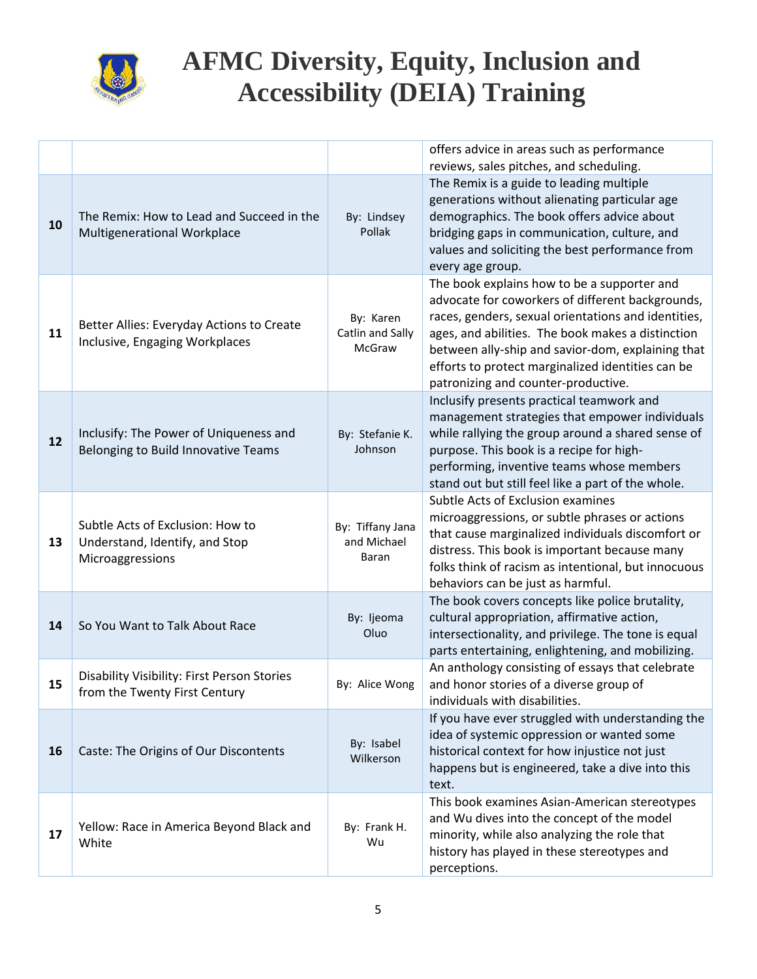

|    |                                                                                        |                                          | offers advice in areas such as performance<br>reviews, sales pitches, and scheduling.                                                                                                                                                                                                                                                                        |
|----|----------------------------------------------------------------------------------------|------------------------------------------|--------------------------------------------------------------------------------------------------------------------------------------------------------------------------------------------------------------------------------------------------------------------------------------------------------------------------------------------------------------|
| 10 | The Remix: How to Lead and Succeed in the<br>Multigenerational Workplace               | By: Lindsey<br>Pollak                    | The Remix is a guide to leading multiple<br>generations without alienating particular age<br>demographics. The book offers advice about<br>bridging gaps in communication, culture, and<br>values and soliciting the best performance from<br>every age group.                                                                                               |
| 11 | Better Allies: Everyday Actions to Create<br>Inclusive, Engaging Workplaces            | By: Karen<br>Catlin and Sally<br>McGraw  | The book explains how to be a supporter and<br>advocate for coworkers of different backgrounds,<br>races, genders, sexual orientations and identities,<br>ages, and abilities. The book makes a distinction<br>between ally-ship and savior-dom, explaining that<br>efforts to protect marginalized identities can be<br>patronizing and counter-productive. |
| 12 | Inclusify: The Power of Uniqueness and<br>Belonging to Build Innovative Teams          | By: Stefanie K.<br>Johnson               | Inclusify presents practical teamwork and<br>management strategies that empower individuals<br>while rallying the group around a shared sense of<br>purpose. This book is a recipe for high-<br>performing, inventive teams whose members<br>stand out but still feel like a part of the whole.                                                              |
| 13 | Subtle Acts of Exclusion: How to<br>Understand, Identify, and Stop<br>Microaggressions | By: Tiffany Jana<br>and Michael<br>Baran | Subtle Acts of Exclusion examines<br>microaggressions, or subtle phrases or actions<br>that cause marginalized individuals discomfort or<br>distress. This book is important because many<br>folks think of racism as intentional, but innocuous<br>behaviors can be just as harmful.                                                                        |
| 14 | So You Want to Talk About Race                                                         | By: Ijeoma<br>Oluo                       | The book covers concepts like police brutality,<br>cultural appropriation, affirmative action,<br>intersectionality, and privilege. The tone is equal<br>parts entertaining, enlightening, and mobilizing.                                                                                                                                                   |
| 15 | Disability Visibility: First Person Stories<br>from the Twenty First Century           | By: Alice Wong                           | An anthology consisting of essays that celebrate<br>and honor stories of a diverse group of<br>individuals with disabilities.                                                                                                                                                                                                                                |
| 16 | Caste: The Origins of Our Discontents                                                  | By: Isabel<br>Wilkerson                  | If you have ever struggled with understanding the<br>idea of systemic oppression or wanted some<br>historical context for how injustice not just<br>happens but is engineered, take a dive into this<br>text.                                                                                                                                                |
| 17 | Yellow: Race in America Beyond Black and<br>White                                      | By: Frank H.<br>Wu                       | This book examines Asian-American stereotypes<br>and Wu dives into the concept of the model<br>minority, while also analyzing the role that<br>history has played in these stereotypes and<br>perceptions.                                                                                                                                                   |